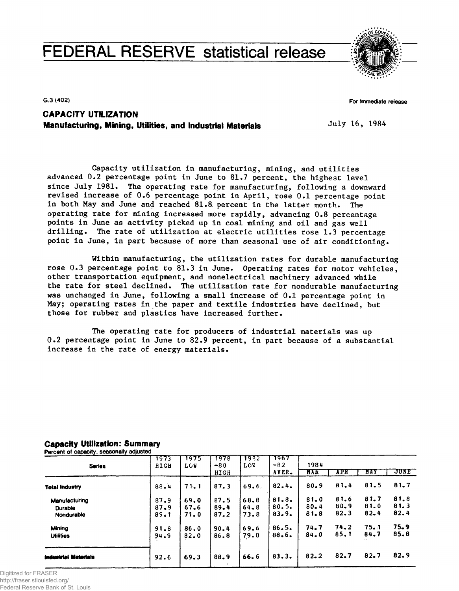# **FEDERAL RESERVE statistical release**



**G.3 (402)**

**For Immediate release**

# **CAPACITY UTILIZATION Manufacturing, Mining, Utilities, and Industrial Materials**

July 16, 1984

Capacity utilization in manufacturing, mining, and utilities advanced  $0.2$  percentage point in June to  $81.7$  percent, the highest level since July 1981. The operating rate for manufacturing, following a downward revised increase of 0.6 percentage point in April, rose 0.1 percentage point in both May and June and reached 81.8. percent in the latter month. The operating rate for mining increased more rapidly, advancing 0.8 percentage points in June as activity picked up in coal mining and oil and gas well drilling. The rate of utilization at electric utilities rose 1.3 percentage point in June, in part because of more than seasonal use of air conditioning.

Within manufacturing, the utilization rates for durable manufacturing rose 0.3 percentage point to 81.3 in June. Operating rates for motor vehicles, other transportation equipment, and nonelectrical machinery advanced while the rate for steel declined. The utilization rate for nondurable manufacturing was unchanged in June, following a small increase of 0.1 percentage point in May; operating rates in the paper and textile industries have declined, but those for rubber and plastics have increased further.

The operating rate for producers of industrial materials was up  $0.2$  percentage point in June to 82.9 percent, in part because of a substantial increase in the rate of energy materials.

| <b>Series</b>         | 1973<br>HIGH         | 1975<br><b>LOW</b> | 1978<br>$-80$ | 1982<br>LOW      | 1967<br>$-82$  | 1984             |                  |              |              |
|-----------------------|----------------------|--------------------|---------------|------------------|----------------|------------------|------------------|--------------|--------------|
|                       |                      |                    | HIGH          |                  | AVER.          | MAR              | APR              | HAY          | JUNE         |
| <b>Total Industry</b> | 88.4                 | 71.1               | 87.3          | 69.6             | 82.4.          | $80 - 9$         | 81.4             | 81.5         | 81.7         |
| Manufacturing         | 87.9                 | 69.0               | 87.5          | 68.8             | 81.8.          | 81.0             | 81.6             | 81.7         | 81.8         |
| Durable<br>Nondurable | $87 - 9$<br>$89 - 1$ | 67.6<br>71.0       | 89.4<br>87.2  | $64 - 8$<br>73.8 | 80.5.<br>83.9. | $80 - 4$<br>81.8 | $80 - 9$<br>82.3 | 81.0<br>82.4 | 81.3<br>82.4 |
| Mining                | $91 - 8$             | 86.0               | $90 - 4$      | 69.6             | 86.5.          | 74.7             | 74.2             | 75.1         | 75.9         |
| <b>Utilities</b>      | 94.9                 | $82 - 0$           | 86.8          | 79.0             | 88.6.          | 84.0             | 85.1             | 84.7         | 85.8         |
| Industrial Materials  | 92.6                 | 69.3               | 88.9          | 66.6             | 83.3.          | $82 - 2$         | 82.7             | 82.7         | 82.9         |

# **Capacity Utilization: Summary**

**Percent of capacity, seasonally adjusted**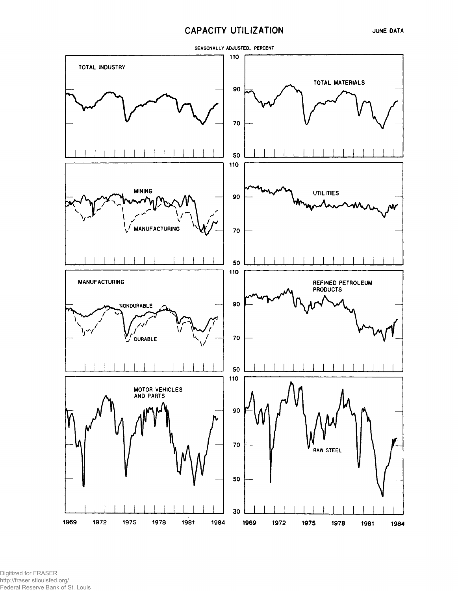# **CAPACITY UTILIZATION**

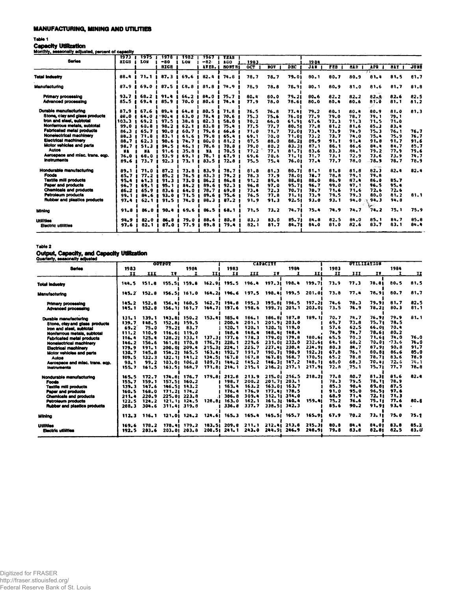### **MANUFACTURING MINING AND UTILITIES**

#### **Table 1**

## **Capacity Utilization**

|--|

| Monthly, seasonally adjusted, percent of capacity |                     |             |                              |                   |                         |                                           |             |            |            |              |            |            |            |            |             |
|---------------------------------------------------|---------------------|-------------|------------------------------|-------------------|-------------------------|-------------------------------------------|-------------|------------|------------|--------------|------------|------------|------------|------------|-------------|
| <b>Series</b>                                     | 1973<br><b>RIGH</b> | 1975<br>LOB | 1978<br>$-80$<br><b>RIGH</b> | 1982<br>LOW       | 1967<br>$-82.$<br>AVER. | <b>TEAR</b><br><b>AGO</b><br><b>NORTH</b> | 1983<br>OCT | <b>NOV</b> | <b>DEC</b> | 1984<br>JAN. | <b>PEB</b> | <b>HAR</b> | APE.       | <b>BAY</b> | <b>JUBB</b> |
| <b>Total Industry</b>                             | 88.4                | 71.1        | 07.3                         | 69.6              | 82.4                    | 74.8                                      | 78.7        | 78.7       | 79.01      | 80.1         | 80.7       | 80.9       | ार<br>81.4 | 81.5       | 81.7        |
|                                                   |                     |             |                              |                   |                         |                                           |             |            |            |              |            |            |            |            |             |
| <b>Manufacturing</b>                              | 87.9                | 69.0        | 87.5                         | 68.8              | 81.8                    | 74.9                                      | $78 - 9$    | 78.8       | 78.91      | 80.1         | 80.9       | 81.0       | 81.6       | 81.7       | 81.8        |
| <b>Primary processing</b>                         | 93.7                | 68.2        | $91 - 4$                     | $66 - 2$          | 84.0                    | 75.7                                      | $80 - 4$    | 80.0       | 79.21      | $80 - 6$     | $82 - 2$   | $82 - 2$   | $82 - 4$   | 82.6       | 82.5        |
| Advanced processing                               | $85 - 5$            | 69.4        | 85.9                         | 70.0              | 80.6                    | 74.4                                      | 77.9        | 78.0       | 78.61      | $80 - 0$     | 80.4       | 80.6       | 81.0       | 81.1       | 81.2        |
| Durable manufacturing                             | $87 - 9$            | 67.6        | 89.4                         | 64.8              | 80.5                    | 71.8                                      | 76.5        | 76.8       | 77.41      | 79.2         | 80.1       | 80.4       | 80.9       | 81.0       | 81.3        |
| Stone, clay and glass products                    | 88.0                | 64.0        | $90 - 4$                     | 63.0              | 78.4                    | 70.6                                      | 75.3        | 75.6       | 76.01      | 77.9         | 79.0       | 78.7       | 79.1       | 79.1       |             |
| Iron and steel, subtotal                          | 103.3               | 69.2        | 97.5                         | 38.8              | 82.3                    | 58.0                                      | 70.2        | 66.0       | 61.91      | 67.6         | 72.3       | 71.3       | 71.5       | 71.0       |             |
| Nonferrous metals, subtotal                       | 99.0                | 60.8        | $98 - 2$                     | 62.1              | $83 - 8$                | 75.4                                      | 77.5        | 77.7       | 80.51      | 77.8         | 81.2       | $81 - 6$   | $85 - 3$   | 83.4       |             |
| <b>Fabricated metal products</b>                  | 86.3                | 65.7        | 90.0                         | 60.7              | 79.6                    | 66.6                                      | 71.0        | 71.7       | 72.01      | 73.4         | 73.9       | 74.9       | 75.3       | 76.1       | 76.7        |
| <b>Nonsiectrical machinery</b>                    | 88.3                | 71.8        | 83.1                         | 61.6              | 79.8                    | 65.4                                      | 69.1        | 70.0       | 71.01      | 73.2         | 73.7       | 74.0       | 75.4       | 75.9       | 76.7        |
| <b>Electrical machinery</b>                       | 88.7                | 62.3        | 90.6                         | 74.7              | 80.0                    | 81.2                                      | 87.5        | 88.0       | 88.21      | 89.9         | 91.1       | 91.4       | 91.8       | 91.7       | 91.6        |
| Motor vehicles and parts                          | 98.7                | 51.3        | 94.5                         | 46.1              | 78.6                    | 70.8                                      | 79.0        | 80.2       | 83.31      | 87.1         | 86.1       | 86.6       | 84.4       | 84.7       | 85.7        |
| Autos                                             | NA.                 | 3A          | 91.6                         | 35.8              | YA                      | 70.5 (                                    | 77.2        | 77.1       | 81.71      | 83.6         | 83.3       | 84.1       | 79.2       | 77.9       | 79.6        |
| Aerospace and misc, trans, ego.                   | 76.0                | 68.0        | 93.9<br>-                    | 69. 1             | 78.1                    | 67.9                                      | 69.6        | 70.6       | 71. 11     | 71.7         | 73.1       | 72.9       | 73.6       | 73.9       | 74.7        |
| <i><b>Instruments</b></i>                         | 89.6                | 73.7        | 92.3                         | 73.1              | 33.5                    | $72 - 8$                                  | 75.5        | 75.4       | 76.OI      | 77.4         | 77.7       | 78.0       | 78.9       | 78.7       | 78.9        |
| <b>Hondurable manufacturing</b>                   | 89.1                | 71.0        | 87.2                         | 73.8              | 83.9                    | 78.7                                      | 81.8        | 81.3       | 80.71      | 81.1         | 81.8       | 81.6       | 82.3       | 82.4       | 82.4        |
| Foods                                             | 85.7                | 77.2        | $85 - 2$                     | 76.5              | 83.3                    | 79.2                                      | 78.3        | 77.9       | 78.01      | 78.7         | 78.8       | 79.1       | 79.8       |            |             |
| <b>Textile mill products</b>                      | 95.4                | 61.3        | 91.3                         | 73.0              | $86 - 2$                | 86.8                                      | 91.2        | 89.4       | 88.81      | 88.0         | 86.9       | 87.4       | 86.0       | 85.7       |             |
| <b>Paper and products</b>                         | 96.7                | 69. 1       | 95.1                         | 84.2              | 89.6                    | 92.3                                      | 96.8        | 97.0       | 95.71      | 96.7         | 99.0       | 97.1       | 96.5       | 95.8       |             |
| Chemicals and products                            | 86.2                | 65.9        | 83.6                         | 64.0              | 78.7                    | 69.8                                      | 73.4        | 72.3       | 70.71      | 70.7         | 71.6       | 71.6       | 72.6       | 72.6       |             |
| Petroleum products                                | $99 - 1$            | 84.6        | $93 - 0$                     | 71.5              | 89.6                    | 75.6                                      | 76.5        | 77.8       | 71. 11     | 73.9         | 79.5       | 79.3       | 80.0       | 81.2       | 81.1        |
| Rubber and plastics products                      | 97.4                | 62.1        | 91.5                         | 74.0              | $88 - 3$                | 87.2                                      | 91.9        | 91.3       | 92.51      | $93 - 0$     | 93.1       | 94.0       | 94.3       | 94.8       |             |
| Mining                                            | $91 - 8$            | 86.0        | $90 - 4$                     | 69.6              | 86.5                    | 68.1                                      | 71.5        | 73.2       | 74.71      | 75.4         | 74.9       | 74.7       | 71.2       | 75.1       | 75.9        |
| <b>Utilities</b>                                  | $94 - 9$            | $82 - 0$    | $86 - 8$                     | 79.0              | 88.6                    | 80.8                                      | 83.3        | 83.0       | 85.71      | 84.8         | 82.5       | 84.0       | 85.1       | 84.7       | 85.8        |
| Electric utilities                                | 97.6                | 82.1        | 87.0                         | 77.9<br>$\bullet$ | 89.8                    | 79.4                                      | 82.1        | 81.7       | 84.71      | 84.0         | 81.0       | 82.6       | 83.7       | 83.1       | 84.4        |

**Table 2**

# **Output, Capacity, and Capacity Utilization Quarterly, seasonally adjusted**

| <b>Series</b><br>1983<br>1984<br>$\mathbf{H}$<br>II1<br>11<br>III<br>IV.<br>$\mathbf{H}$<br>n<br>III<br>IV.<br>III<br><b>IV</b><br>т<br>- 7<br>197.31 198.4<br>73.9<br>80.5<br>155.51 159.8<br>162.91 195.5<br>199,71<br>77.3<br>78.81<br>151.8<br>196.4<br>144.5<br><b>Total Industry</b><br>80.7<br>198.41 199.5<br>73.8<br>77.4<br>156.51 161.0 164.21 196.6 197.5<br>201.01<br>78.91<br>152.8<br>145.2<br><b>Manufacturing</b><br>195.81 196.5<br>197.21<br>78.3<br>79.91<br>81.7<br>162.71 194.8<br>195.3<br>74.6<br>156.41 160.5<br>145.2<br>152.8<br><b>Primary processing</b><br>76.9<br>78.21<br>$80 - 3$<br>197.6<br>199.71<br>$201 - 1$<br>203.01<br>73.5<br>145.1<br>152.8<br>161.7<br>164.71<br>198.6<br>156.11<br>Advanced processing<br>153.41<br>$186.81$ $187.8$<br>189.11<br>76.91<br>79.9<br>185.4<br>186.1<br>70.7<br>74.7<br>143.81 150.2<br>131.1<br>139.1<br>Durable manufacturing<br>78.5<br>201.1<br>201.91 203.0<br>69.7<br>73.8<br>75.71<br>200.4<br>139.7<br>148.5<br>152.81 159.5<br>Stone, clay and glass products<br>57.6<br>70.4<br>62.5<br>66.01<br>120.1<br>$120 - 1$<br>120.11 119.0<br>69.2<br>75.0<br>$79.21$ 83.7<br>iron and steel, subtotal<br>80.2<br>74.9<br>74.7<br>78.61<br>148.4<br>148.4<br>148.41 148.4<br>111.2<br>110.9<br>116.61 119.0<br>Nonferrous metals, subtotal<br>178.3<br>179.01 179.8<br>65.5<br>70.3<br>71.61<br>74.0<br>$128.21$ $133.1$<br>137.31 177.6<br>180.61<br>125.4<br>116.4<br>Fabricated metal products<br>$-73.6$<br>229.6<br>231.01 232.0<br>232.61<br>68.2<br>70.01<br>228.1<br>64.1<br>156.6<br>$161.81$ $170.8$<br>176.71<br>146.2<br>Nonelectrical machinery<br>$224 - 1$<br>225.7<br>227.41 230.4<br>234.91<br>80.3<br>84.7<br>87.91<br>90.8<br>215.31<br>191.1<br>200.01 209.4<br>179.9<br><b>Electrical machinery</b><br>190.71 190.9<br>67.8<br>76.1<br>80.81<br>86.6<br>163.41 192.7<br>191.7<br>192, 31<br>154.21 165.5<br>130.7<br>145.8<br>Motor vehicles and parts<br>78.8<br>78.71<br>83.6<br>$167 - 8$<br>167.81 168.7<br>170.51<br>65.2<br>109.5<br>132.3<br>$132.11$ $141.2$<br>$134.51$ $167.8$<br><b>Autos</b><br>145.2<br>$146.31$ $147.2$<br>148.11<br>68.3<br>70.41<br>72.6<br>109.71<br>144.2<br>68.0<br>99.2<br>103.01 106.8<br>98.1<br>Aerospace and misc, trans. egg.<br>72.8<br>75.71<br>77.7<br>215.1<br>$216 - 2121$<br>217.91<br>75.1<br>$163.51$ $168.7$<br>171.81<br>214.1<br>155.7<br>161.5<br><b>Instruments</b><br>215.01 216.5<br>218.21<br>77.8<br>80.7<br>81.31<br>81.6<br>174.81 176.7<br>179.81<br>212.8<br>213.9<br>165.5<br>172.7<br>Nondurable manufacturing<br>78.3<br>79.5<br>78.9<br>198.7<br>200.2<br>201.71203.1<br>78. TI<br>159.1<br>155.7<br>157.51 160.2<br><b>Foods</b><br>87.5<br>163.2<br>$163.01$ $163.7$<br>85.3<br>$90 - 4$<br>89.81<br>163.4<br>139.3<br>147.6<br>146.51 143.2<br><b>Textile mill products</b><br>97.6<br>176.9<br>177.41 178.5<br>91.0<br>95.0<br>96.51<br>176.4<br>168.0<br>$171.21$ $174.2$<br>160.5<br>Paper and products<br>71.3<br>309.8<br>312.11 314.0<br>68.9<br>71.4<br>72. II<br>306.8<br>211.4<br>$220 - 9$<br>225.01 223.8<br><b>Chemicals and products</b><br>77.6<br>75.11<br>128.81<br>163.0<br>162.1<br>161.31.160.4<br>159.41<br>75.2<br>76.6<br>Petroleum products<br>122.5<br>124.2<br>$121.11$ $124.5$<br>93.4<br>337.7<br>85.6<br>90.2<br>91.91<br>336.8<br>338.51 342.3<br><b>Rubber and plastics products</b><br>288.3<br>304.6<br>311.41 319.8<br>124.61 165.3 165.4 165.51 165.7<br>67.9<br>75.0<br>165.91<br>70.2<br>73.11<br>121.01 124.2<br>116.1<br>112.3<br>Mining |  | <b>OUTPUT</b> |  |      | <b>CAPACITY</b> |      |      | UTILIZATION |      |              |
|-------------------------------------------------------------------------------------------------------------------------------------------------------------------------------------------------------------------------------------------------------------------------------------------------------------------------------------------------------------------------------------------------------------------------------------------------------------------------------------------------------------------------------------------------------------------------------------------------------------------------------------------------------------------------------------------------------------------------------------------------------------------------------------------------------------------------------------------------------------------------------------------------------------------------------------------------------------------------------------------------------------------------------------------------------------------------------------------------------------------------------------------------------------------------------------------------------------------------------------------------------------------------------------------------------------------------------------------------------------------------------------------------------------------------------------------------------------------------------------------------------------------------------------------------------------------------------------------------------------------------------------------------------------------------------------------------------------------------------------------------------------------------------------------------------------------------------------------------------------------------------------------------------------------------------------------------------------------------------------------------------------------------------------------------------------------------------------------------------------------------------------------------------------------------------------------------------------------------------------------------------------------------------------------------------------------------------------------------------------------------------------------------------------------------------------------------------------------------------------------------------------------------------------------------------------------------------------------------------------------------------------------------------------------------------------------------------------------------------------------------------------------------------------------------------------------------------------------------------------------------------------------------------------------------------------------------------------------------------------------------------------------------------------------------------------------------------------------------------------------------------------------------------------------------------------------------------------------------------------------------------------------------------------------------------------------------------------------------------------------------------------------------------------------------------------------------------------------------------------------------------------------------------------------------------|--|---------------|--|------|-----------------|------|------|-------------|------|--------------|
|                                                                                                                                                                                                                                                                                                                                                                                                                                                                                                                                                                                                                                                                                                                                                                                                                                                                                                                                                                                                                                                                                                                                                                                                                                                                                                                                                                                                                                                                                                                                                                                                                                                                                                                                                                                                                                                                                                                                                                                                                                                                                                                                                                                                                                                                                                                                                                                                                                                                                                                                                                                                                                                                                                                                                                                                                                                                                                                                                                                                                                                                                                                                                                                                                                                                                                                                                                                                                                                                                                                                                       |  |               |  | 1983 |                 | 1984 | 1983 |             | 1984 |              |
|                                                                                                                                                                                                                                                                                                                                                                                                                                                                                                                                                                                                                                                                                                                                                                                                                                                                                                                                                                                                                                                                                                                                                                                                                                                                                                                                                                                                                                                                                                                                                                                                                                                                                                                                                                                                                                                                                                                                                                                                                                                                                                                                                                                                                                                                                                                                                                                                                                                                                                                                                                                                                                                                                                                                                                                                                                                                                                                                                                                                                                                                                                                                                                                                                                                                                                                                                                                                                                                                                                                                                       |  |               |  |      |                 |      |      |             |      | $\mathbf{H}$ |
|                                                                                                                                                                                                                                                                                                                                                                                                                                                                                                                                                                                                                                                                                                                                                                                                                                                                                                                                                                                                                                                                                                                                                                                                                                                                                                                                                                                                                                                                                                                                                                                                                                                                                                                                                                                                                                                                                                                                                                                                                                                                                                                                                                                                                                                                                                                                                                                                                                                                                                                                                                                                                                                                                                                                                                                                                                                                                                                                                                                                                                                                                                                                                                                                                                                                                                                                                                                                                                                                                                                                                       |  |               |  |      |                 |      |      |             |      | 81.5         |
|                                                                                                                                                                                                                                                                                                                                                                                                                                                                                                                                                                                                                                                                                                                                                                                                                                                                                                                                                                                                                                                                                                                                                                                                                                                                                                                                                                                                                                                                                                                                                                                                                                                                                                                                                                                                                                                                                                                                                                                                                                                                                                                                                                                                                                                                                                                                                                                                                                                                                                                                                                                                                                                                                                                                                                                                                                                                                                                                                                                                                                                                                                                                                                                                                                                                                                                                                                                                                                                                                                                                                       |  |               |  |      |                 |      |      |             |      | 81.7         |
|                                                                                                                                                                                                                                                                                                                                                                                                                                                                                                                                                                                                                                                                                                                                                                                                                                                                                                                                                                                                                                                                                                                                                                                                                                                                                                                                                                                                                                                                                                                                                                                                                                                                                                                                                                                                                                                                                                                                                                                                                                                                                                                                                                                                                                                                                                                                                                                                                                                                                                                                                                                                                                                                                                                                                                                                                                                                                                                                                                                                                                                                                                                                                                                                                                                                                                                                                                                                                                                                                                                                                       |  |               |  |      |                 |      |      |             |      | 82.5         |
|                                                                                                                                                                                                                                                                                                                                                                                                                                                                                                                                                                                                                                                                                                                                                                                                                                                                                                                                                                                                                                                                                                                                                                                                                                                                                                                                                                                                                                                                                                                                                                                                                                                                                                                                                                                                                                                                                                                                                                                                                                                                                                                                                                                                                                                                                                                                                                                                                                                                                                                                                                                                                                                                                                                                                                                                                                                                                                                                                                                                                                                                                                                                                                                                                                                                                                                                                                                                                                                                                                                                                       |  |               |  |      |                 |      |      |             |      | 81.1         |
|                                                                                                                                                                                                                                                                                                                                                                                                                                                                                                                                                                                                                                                                                                                                                                                                                                                                                                                                                                                                                                                                                                                                                                                                                                                                                                                                                                                                                                                                                                                                                                                                                                                                                                                                                                                                                                                                                                                                                                                                                                                                                                                                                                                                                                                                                                                                                                                                                                                                                                                                                                                                                                                                                                                                                                                                                                                                                                                                                                                                                                                                                                                                                                                                                                                                                                                                                                                                                                                                                                                                                       |  |               |  |      |                 |      |      |             |      | 81.1         |
|                                                                                                                                                                                                                                                                                                                                                                                                                                                                                                                                                                                                                                                                                                                                                                                                                                                                                                                                                                                                                                                                                                                                                                                                                                                                                                                                                                                                                                                                                                                                                                                                                                                                                                                                                                                                                                                                                                                                                                                                                                                                                                                                                                                                                                                                                                                                                                                                                                                                                                                                                                                                                                                                                                                                                                                                                                                                                                                                                                                                                                                                                                                                                                                                                                                                                                                                                                                                                                                                                                                                                       |  |               |  |      |                 |      |      |             |      |              |
|                                                                                                                                                                                                                                                                                                                                                                                                                                                                                                                                                                                                                                                                                                                                                                                                                                                                                                                                                                                                                                                                                                                                                                                                                                                                                                                                                                                                                                                                                                                                                                                                                                                                                                                                                                                                                                                                                                                                                                                                                                                                                                                                                                                                                                                                                                                                                                                                                                                                                                                                                                                                                                                                                                                                                                                                                                                                                                                                                                                                                                                                                                                                                                                                                                                                                                                                                                                                                                                                                                                                                       |  |               |  |      |                 |      |      |             |      |              |
|                                                                                                                                                                                                                                                                                                                                                                                                                                                                                                                                                                                                                                                                                                                                                                                                                                                                                                                                                                                                                                                                                                                                                                                                                                                                                                                                                                                                                                                                                                                                                                                                                                                                                                                                                                                                                                                                                                                                                                                                                                                                                                                                                                                                                                                                                                                                                                                                                                                                                                                                                                                                                                                                                                                                                                                                                                                                                                                                                                                                                                                                                                                                                                                                                                                                                                                                                                                                                                                                                                                                                       |  |               |  |      |                 |      |      |             |      |              |
|                                                                                                                                                                                                                                                                                                                                                                                                                                                                                                                                                                                                                                                                                                                                                                                                                                                                                                                                                                                                                                                                                                                                                                                                                                                                                                                                                                                                                                                                                                                                                                                                                                                                                                                                                                                                                                                                                                                                                                                                                                                                                                                                                                                                                                                                                                                                                                                                                                                                                                                                                                                                                                                                                                                                                                                                                                                                                                                                                                                                                                                                                                                                                                                                                                                                                                                                                                                                                                                                                                                                                       |  |               |  |      |                 |      |      |             |      | 76.0         |
|                                                                                                                                                                                                                                                                                                                                                                                                                                                                                                                                                                                                                                                                                                                                                                                                                                                                                                                                                                                                                                                                                                                                                                                                                                                                                                                                                                                                                                                                                                                                                                                                                                                                                                                                                                                                                                                                                                                                                                                                                                                                                                                                                                                                                                                                                                                                                                                                                                                                                                                                                                                                                                                                                                                                                                                                                                                                                                                                                                                                                                                                                                                                                                                                                                                                                                                                                                                                                                                                                                                                                       |  |               |  |      |                 |      |      |             |      | $76 - 0$     |
|                                                                                                                                                                                                                                                                                                                                                                                                                                                                                                                                                                                                                                                                                                                                                                                                                                                                                                                                                                                                                                                                                                                                                                                                                                                                                                                                                                                                                                                                                                                                                                                                                                                                                                                                                                                                                                                                                                                                                                                                                                                                                                                                                                                                                                                                                                                                                                                                                                                                                                                                                                                                                                                                                                                                                                                                                                                                                                                                                                                                                                                                                                                                                                                                                                                                                                                                                                                                                                                                                                                                                       |  |               |  |      |                 |      |      |             |      | 91.7         |
|                                                                                                                                                                                                                                                                                                                                                                                                                                                                                                                                                                                                                                                                                                                                                                                                                                                                                                                                                                                                                                                                                                                                                                                                                                                                                                                                                                                                                                                                                                                                                                                                                                                                                                                                                                                                                                                                                                                                                                                                                                                                                                                                                                                                                                                                                                                                                                                                                                                                                                                                                                                                                                                                                                                                                                                                                                                                                                                                                                                                                                                                                                                                                                                                                                                                                                                                                                                                                                                                                                                                                       |  |               |  |      |                 |      |      |             |      | 85.0         |
|                                                                                                                                                                                                                                                                                                                                                                                                                                                                                                                                                                                                                                                                                                                                                                                                                                                                                                                                                                                                                                                                                                                                                                                                                                                                                                                                                                                                                                                                                                                                                                                                                                                                                                                                                                                                                                                                                                                                                                                                                                                                                                                                                                                                                                                                                                                                                                                                                                                                                                                                                                                                                                                                                                                                                                                                                                                                                                                                                                                                                                                                                                                                                                                                                                                                                                                                                                                                                                                                                                                                                       |  |               |  |      |                 |      |      |             |      | 78.9         |
|                                                                                                                                                                                                                                                                                                                                                                                                                                                                                                                                                                                                                                                                                                                                                                                                                                                                                                                                                                                                                                                                                                                                                                                                                                                                                                                                                                                                                                                                                                                                                                                                                                                                                                                                                                                                                                                                                                                                                                                                                                                                                                                                                                                                                                                                                                                                                                                                                                                                                                                                                                                                                                                                                                                                                                                                                                                                                                                                                                                                                                                                                                                                                                                                                                                                                                                                                                                                                                                                                                                                                       |  |               |  |      |                 |      |      |             |      | 35.1         |
|                                                                                                                                                                                                                                                                                                                                                                                                                                                                                                                                                                                                                                                                                                                                                                                                                                                                                                                                                                                                                                                                                                                                                                                                                                                                                                                                                                                                                                                                                                                                                                                                                                                                                                                                                                                                                                                                                                                                                                                                                                                                                                                                                                                                                                                                                                                                                                                                                                                                                                                                                                                                                                                                                                                                                                                                                                                                                                                                                                                                                                                                                                                                                                                                                                                                                                                                                                                                                                                                                                                                                       |  |               |  |      |                 |      |      |             |      | 78. a        |
|                                                                                                                                                                                                                                                                                                                                                                                                                                                                                                                                                                                                                                                                                                                                                                                                                                                                                                                                                                                                                                                                                                                                                                                                                                                                                                                                                                                                                                                                                                                                                                                                                                                                                                                                                                                                                                                                                                                                                                                                                                                                                                                                                                                                                                                                                                                                                                                                                                                                                                                                                                                                                                                                                                                                                                                                                                                                                                                                                                                                                                                                                                                                                                                                                                                                                                                                                                                                                                                                                                                                                       |  |               |  |      |                 |      |      |             |      | 82.4         |
|                                                                                                                                                                                                                                                                                                                                                                                                                                                                                                                                                                                                                                                                                                                                                                                                                                                                                                                                                                                                                                                                                                                                                                                                                                                                                                                                                                                                                                                                                                                                                                                                                                                                                                                                                                                                                                                                                                                                                                                                                                                                                                                                                                                                                                                                                                                                                                                                                                                                                                                                                                                                                                                                                                                                                                                                                                                                                                                                                                                                                                                                                                                                                                                                                                                                                                                                                                                                                                                                                                                                                       |  |               |  |      |                 |      |      |             |      |              |
|                                                                                                                                                                                                                                                                                                                                                                                                                                                                                                                                                                                                                                                                                                                                                                                                                                                                                                                                                                                                                                                                                                                                                                                                                                                                                                                                                                                                                                                                                                                                                                                                                                                                                                                                                                                                                                                                                                                                                                                                                                                                                                                                                                                                                                                                                                                                                                                                                                                                                                                                                                                                                                                                                                                                                                                                                                                                                                                                                                                                                                                                                                                                                                                                                                                                                                                                                                                                                                                                                                                                                       |  |               |  |      |                 |      |      |             |      |              |
|                                                                                                                                                                                                                                                                                                                                                                                                                                                                                                                                                                                                                                                                                                                                                                                                                                                                                                                                                                                                                                                                                                                                                                                                                                                                                                                                                                                                                                                                                                                                                                                                                                                                                                                                                                                                                                                                                                                                                                                                                                                                                                                                                                                                                                                                                                                                                                                                                                                                                                                                                                                                                                                                                                                                                                                                                                                                                                                                                                                                                                                                                                                                                                                                                                                                                                                                                                                                                                                                                                                                                       |  |               |  |      |                 |      |      |             |      |              |
|                                                                                                                                                                                                                                                                                                                                                                                                                                                                                                                                                                                                                                                                                                                                                                                                                                                                                                                                                                                                                                                                                                                                                                                                                                                                                                                                                                                                                                                                                                                                                                                                                                                                                                                                                                                                                                                                                                                                                                                                                                                                                                                                                                                                                                                                                                                                                                                                                                                                                                                                                                                                                                                                                                                                                                                                                                                                                                                                                                                                                                                                                                                                                                                                                                                                                                                                                                                                                                                                                                                                                       |  |               |  |      |                 |      |      |             |      |              |
|                                                                                                                                                                                                                                                                                                                                                                                                                                                                                                                                                                                                                                                                                                                                                                                                                                                                                                                                                                                                                                                                                                                                                                                                                                                                                                                                                                                                                                                                                                                                                                                                                                                                                                                                                                                                                                                                                                                                                                                                                                                                                                                                                                                                                                                                                                                                                                                                                                                                                                                                                                                                                                                                                                                                                                                                                                                                                                                                                                                                                                                                                                                                                                                                                                                                                                                                                                                                                                                                                                                                                       |  |               |  |      |                 |      |      |             |      | 80.8         |
|                                                                                                                                                                                                                                                                                                                                                                                                                                                                                                                                                                                                                                                                                                                                                                                                                                                                                                                                                                                                                                                                                                                                                                                                                                                                                                                                                                                                                                                                                                                                                                                                                                                                                                                                                                                                                                                                                                                                                                                                                                                                                                                                                                                                                                                                                                                                                                                                                                                                                                                                                                                                                                                                                                                                                                                                                                                                                                                                                                                                                                                                                                                                                                                                                                                                                                                                                                                                                                                                                                                                                       |  |               |  |      |                 |      |      |             |      |              |
|                                                                                                                                                                                                                                                                                                                                                                                                                                                                                                                                                                                                                                                                                                                                                                                                                                                                                                                                                                                                                                                                                                                                                                                                                                                                                                                                                                                                                                                                                                                                                                                                                                                                                                                                                                                                                                                                                                                                                                                                                                                                                                                                                                                                                                                                                                                                                                                                                                                                                                                                                                                                                                                                                                                                                                                                                                                                                                                                                                                                                                                                                                                                                                                                                                                                                                                                                                                                                                                                                                                                                       |  |               |  |      |                 |      |      |             |      | 75.1         |
| 215.31<br>212.44 213.8<br>80.8<br>84.01<br>$83 - 8$<br>178.41 179.2<br>183.51 209.8<br>211.1<br>84.4<br>178.2<br>169.6<br>Utilities                                                                                                                                                                                                                                                                                                                                                                                                                                                                                                                                                                                                                                                                                                                                                                                                                                                                                                                                                                                                                                                                                                                                                                                                                                                                                                                                                                                                                                                                                                                                                                                                                                                                                                                                                                                                                                                                                                                                                                                                                                                                                                                                                                                                                                                                                                                                                                                                                                                                                                                                                                                                                                                                                                                                                                                                                                                                                                                                                                                                                                                                                                                                                                                                                                                                                                                                                                                                                   |  |               |  |      |                 |      |      |             |      | 85.2         |
| 82.5<br>208.51<br>241.1<br>243.0<br>244.91 246.9<br>248.91<br>79.8<br>83.8<br>82.81<br>192.5<br>203.6<br>203.01<br>203.8<br>Electric utilities                                                                                                                                                                                                                                                                                                                                                                                                                                                                                                                                                                                                                                                                                                                                                                                                                                                                                                                                                                                                                                                                                                                                                                                                                                                                                                                                                                                                                                                                                                                                                                                                                                                                                                                                                                                                                                                                                                                                                                                                                                                                                                                                                                                                                                                                                                                                                                                                                                                                                                                                                                                                                                                                                                                                                                                                                                                                                                                                                                                                                                                                                                                                                                                                                                                                                                                                                                                                        |  |               |  |      |                 |      |      |             |      | 83.6         |